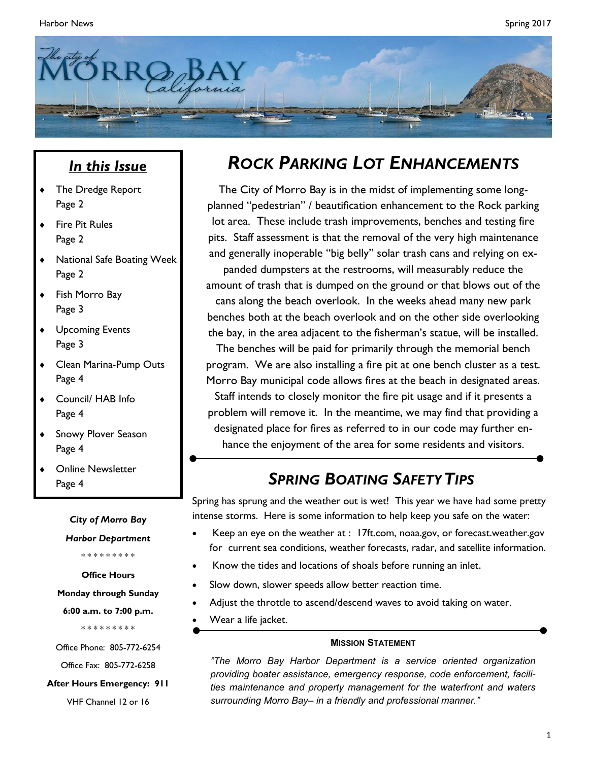

#### *In this Issue*

- The Dredge Report Page 2
- Fire Pit Rules Page 2
- National Safe Boating Week Page 2
- Fish Morro Bay Page 3
- Upcoming Events Page 3
- Clean Marina-Pump Outs Page 4
- Council/ HAB Info Page 4
- **+** Snowy Plover Season Page 4
- Online Newsletter Page 4

*City of Morro Bay* 

*Harbor Department*

\* \* \* \* \* \* \* \* \*

**Office Hours**

**Monday through Sunday**

**6:00 a.m. to 7:00 p.m.**

\* \* \* \* \* \* \* \* \*

Office Phone: 805-772-6254

Office Fax: 805-772-6258

**After Hours Emergency: 911**

VHF Channel 12 or 16

### *ROCK PARKING LOT ENHANCEMENTS*

The City of Morro Bay is in the midst of implementing some longplanned "pedestrian" / beautification enhancement to the Rock parking lot area. These include trash improvements, benches and testing fire pits. Staff assessment is that the removal of the very high maintenance and generally inoperable "big belly" solar trash cans and relying on ex-

panded dumpsters at the restrooms, will measurably reduce the amount of trash that is dumped on the ground or that blows out of the cans along the beach overlook. In the weeks ahead many new park benches both at the beach overlook and on the other side overlooking

the bay, in the area adjacent to the fisherman's statue, will be installed. The benches will be paid for primarily through the memorial bench

program. We are also installing a fire pit at one bench cluster as a test. Morro Bay municipal code allows fires at the beach in designated areas.

Staff intends to closely monitor the fire pit usage and if it presents a problem will remove it. In the meantime, we may find that providing a designated place for fires as referred to in our code may further enhance the enjoyment of the area for some residents and visitors.

#### *SPRING BOATING SAFETYTIPS*

Spring has sprung and the weather out is wet! This year we have had some pretty intense storms. Here is some information to help keep you safe on the water:

- Keep an eye on the weather at : 17ft.com, noaa.gov, or forecast.weather.gov for current sea conditions, weather forecasts, radar, and satellite information.
- Know the tides and locations of shoals before running an inlet.
- Slow down, slower speeds allow better reaction time.
- Adjust the throttle to ascend/descend waves to avoid taking on water.
- Wear a life jacket.

#### **MISSION STATEMENT**

*"The Morro Bay Harbor Department is a service oriented organization providing boater assistance, emergency response, code enforcement, facilities maintenance and property management for the waterfront and waters surrounding Morro Bay– in a friendly and professional manner."*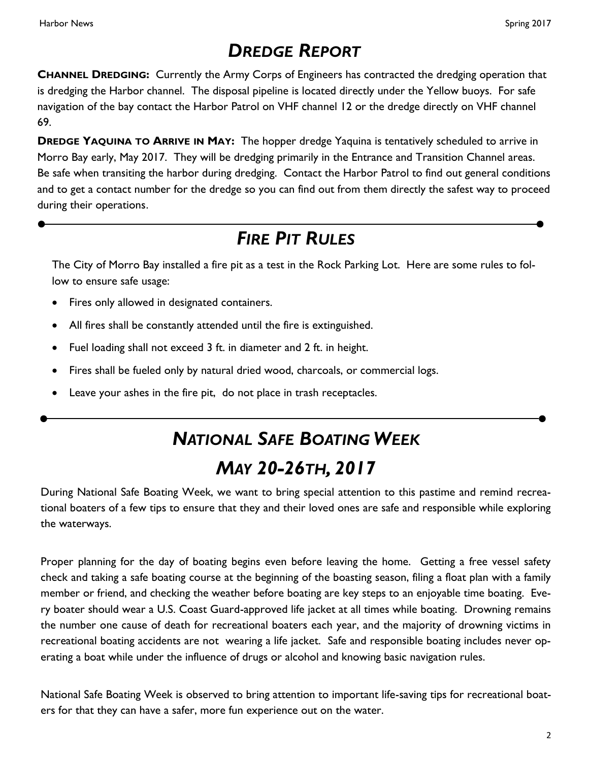## *DREDGE REPORT*

**CHANNEL DREDGING:** Currently the Army Corps of Engineers has contracted the dredging operation that is dredging the Harbor channel. The disposal pipeline is located directly under the Yellow buoys. For safe navigation of the bay contact the Harbor Patrol on VHF channel 12 or the dredge directly on VHF channel 69.

**DREDGE YAQUINA TO ARRIVE IN MAY:** The hopper dredge Yaquina is tentatively scheduled to arrive in Morro Bay early, May 2017. They will be dredging primarily in the Entrance and Transition Channel areas. Be safe when transiting the harbor during dredging. Contact the Harbor Patrol to find out general conditions and to get a contact number for the dredge so you can find out from them directly the safest way to proceed during their operations.

### *FIRE PIT RULES*

The City of Morro Bay installed a fire pit as a test in the Rock Parking Lot. Here are some rules to follow to ensure safe usage:

- Fires only allowed in designated containers.
- All fires shall be constantly attended until the fire is extinguished.
- Fuel loading shall not exceed 3 ft. in diameter and 2 ft. in height.
- Fires shall be fueled only by natural dried wood, charcoals, or commercial logs.
- Leave your ashes in the fire pit, do not place in trash receptacles.

# *NATIONAL SAFE BOATING WEEK MAY 20-26TH, 2017*

During National Safe Boating Week, we want to bring special attention to this pastime and remind recreational boaters of a few tips to ensure that they and their loved ones are safe and responsible while exploring the waterways.

Proper planning for the day of boating begins even before leaving the home. Getting a free vessel safety check and taking a safe boating course at the beginning of the boasting season, filing a float plan with a family member or friend, and checking the weather before boating are key steps to an enjoyable time boating. Every boater should wear a U.S. Coast Guard-approved life jacket at all times while boating. Drowning remains the number one cause of death for recreational boaters each year, and the majority of drowning victims in recreational boating accidents are not wearing a life jacket. Safe and responsible boating includes never operating a boat while under the influence of drugs or alcohol and knowing basic navigation rules.

National Safe Boating Week is observed to bring attention to important life-saving tips for recreational boaters for that they can have a safer, more fun experience out on the water.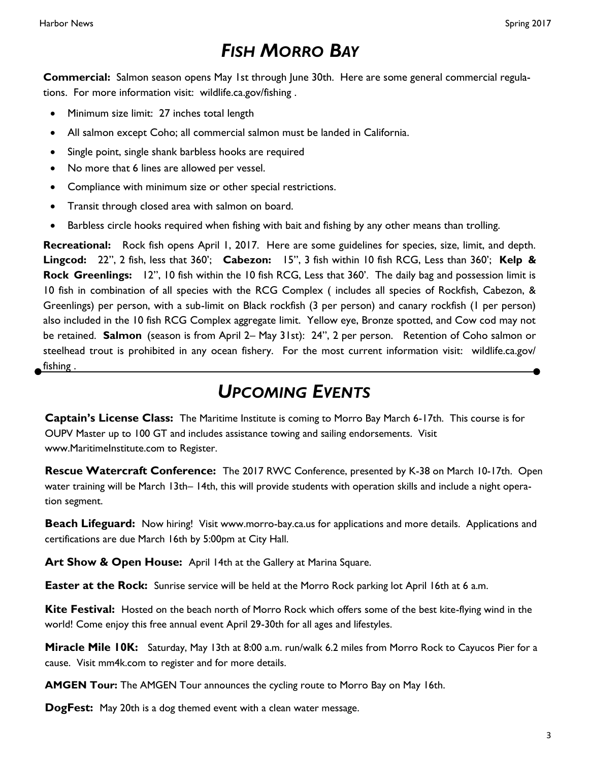## *FISH MORRO BAY*

**Commercial:** Salmon season opens May 1st through June 30th. Here are some general commercial regulations. For more information visit: wildlife.ca.gov/fishing .

- Minimum size limit: 27 inches total length
- All salmon except Coho; all commercial salmon must be landed in California.
- Single point, single shank barbless hooks are required
- No more that 6 lines are allowed per vessel.
- Compliance with minimum size or other special restrictions.
- Transit through closed area with salmon on board.
- Barbless circle hooks required when fishing with bait and fishing by any other means than trolling.

**Recreational:** Rock fish opens April 1, 2017. Here are some guidelines for species, size, limit, and depth. **Lingcod:** 22", 2 fish, less that 360'; **Cabezon:** 15", 3 fish within 10 fish RCG, Less than 360'; **Kelp & Rock Greenlings:** 12", 10 fish within the 10 fish RCG, Less that 360'. The daily bag and possession limit is 10 fish in combination of all species with the RCG Complex ( includes all species of Rockfish, Cabezon, & Greenlings) per person, with a sub-limit on Black rockfish (3 per person) and canary rockfish (1 per person) also included in the 10 fish RCG Complex aggregate limit. Yellow eye, Bronze spotted, and Cow cod may not be retained. **Salmon** (season is from April 2– May 31st): 24", 2 per person. Retention of Coho salmon or steelhead trout is prohibited in any ocean fishery. For the most current information visit: wildlife.ca.gov/ fishing .

#### *UPCOMING EVENTS*

**Captain's License Class:** The Maritime Institute is coming to Morro Bay March 6-17th. This course is for OUPV Master up to 100 GT and includes assistance towing and sailing endorsements. Visit www.MaritimeInstitute.com to Register.

**Rescue Watercraft Conference:** The 2017 RWC Conference, presented by K-38 on March 10-17th. Open water training will be March 13th– 14th, this will provide students with operation skills and include a night operation segment.

**Beach Lifeguard:** Now hiring! Visit www.morro-bay.ca.us for applications and more details. Applications and certifications are due March 16th by 5:00pm at City Hall.

Art Show & Open House: April 14th at the Gallery at Marina Square.

**Easter at the Rock:** Sunrise service will be held at the Morro Rock parking lot April 16th at 6 a.m.

**Kite Festival:** Hosted on the beach north of Morro Rock which offers some of the best kite-flying wind in the world! Come enjoy this free annual event April 29-30th for all ages and lifestyles.

**Miracle Mile 10K:** Saturday, May 13th at 8:00 a.m. run/walk 6.2 miles from Morro Rock to Cayucos Pier for a cause. Visit mm4k.com to register and for more details.

**AMGEN Tour:** The AMGEN Tour announces the cycling route to Morro Bay on May 16th.

**DogFest:** May 20th is a dog themed event with a clean water message.